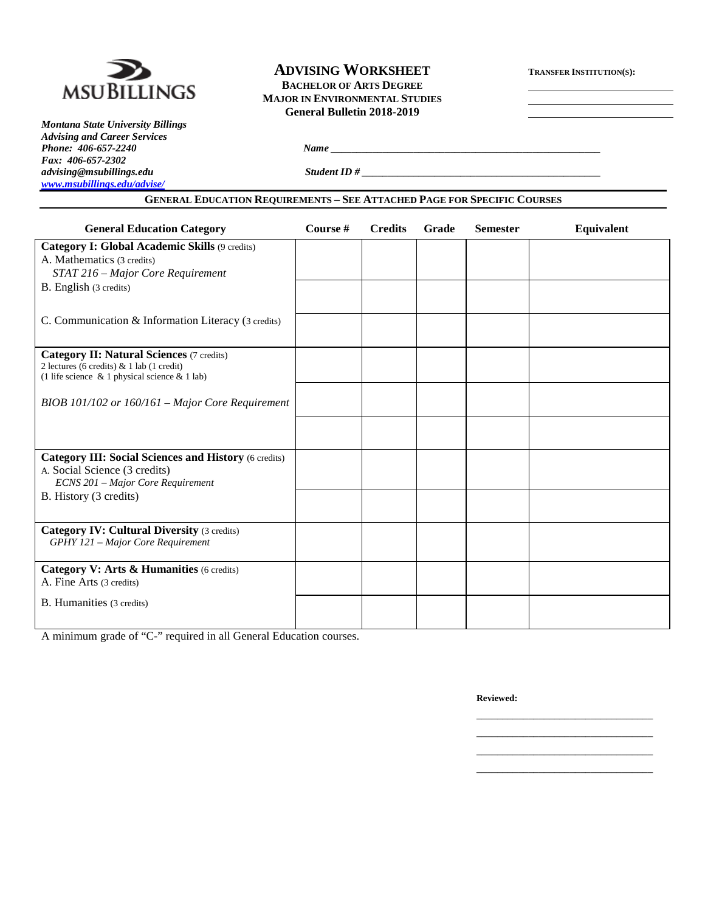

*Montana State University Billings Advising and Career Services Phone: 406-657-2240 Name \_\_\_\_\_\_\_\_\_\_\_\_\_\_\_\_\_\_\_\_\_\_\_\_\_\_\_\_\_\_\_\_\_\_\_\_\_\_\_\_\_\_\_\_\_\_\_\_\_\_\_\_ Fax: 406-657-2302 [www.msubillings.edu/advise/](http://www.msubillings.edu/advise/)*

## **ADVISING WORKSHEET TRANSFER INSTITUTION(S): BACHELOR OF ARTS DEGREE MAJOR IN ENVIRONMENTAL STUDIES General Bulletin 2018-2019**

*advising@msubillings.edu Student ID # \_\_\_\_\_\_\_\_\_\_\_\_\_\_\_\_\_\_\_\_\_\_\_\_\_\_\_\_\_\_\_\_\_\_\_\_\_\_\_\_\_\_\_\_\_\_*

## **GENERAL EDUCATION REQUIREMENTS – SEE ATTACHED PAGE FOR SPECIFIC COURSES**

| <b>General Education Category</b>                                                                                                                    | Course # | <b>Credits</b> | Grade | <b>Semester</b> | <b>Equivalent</b> |
|------------------------------------------------------------------------------------------------------------------------------------------------------|----------|----------------|-------|-----------------|-------------------|
| <b>Category I: Global Academic Skills (9 credits)</b><br>A. Mathematics (3 credits)<br>STAT 216 - Major Core Requirement                             |          |                |       |                 |                   |
| B. English (3 credits)                                                                                                                               |          |                |       |                 |                   |
| C. Communication & Information Literacy (3 credits)                                                                                                  |          |                |       |                 |                   |
| <b>Category II: Natural Sciences (7 credits)</b><br>2 lectures (6 credits) & 1 lab (1 credit)<br>(1 life science $\&$ 1 physical science $\&$ 1 lab) |          |                |       |                 |                   |
| BIOB 101/102 or $160/161$ – Major Core Requirement                                                                                                   |          |                |       |                 |                   |
|                                                                                                                                                      |          |                |       |                 |                   |
| <b>Category III: Social Sciences and History (6 credits)</b><br>A. Social Science (3 credits)<br>ECNS 201 - Major Core Requirement                   |          |                |       |                 |                   |
| B. History (3 credits)                                                                                                                               |          |                |       |                 |                   |
| <b>Category IV: Cultural Diversity (3 credits)</b><br>GPHY 121 - Major Core Requirement                                                              |          |                |       |                 |                   |
| Category V: Arts & Humanities (6 credits)<br>A. Fine Arts (3 credits)                                                                                |          |                |       |                 |                   |
| B. Humanities (3 credits)                                                                                                                            |          |                |       |                 |                   |

A minimum grade of "C-" required in all General Education courses.

**Reviewed:**

\_\_\_\_\_\_\_\_\_\_\_\_\_\_\_\_\_\_\_\_\_\_\_\_\_\_\_\_\_\_\_\_\_\_ \_\_\_\_\_\_\_\_\_\_\_\_\_\_\_\_\_\_\_\_\_\_\_\_\_\_\_\_\_\_\_\_\_\_ \_\_\_\_\_\_\_\_\_\_\_\_\_\_\_\_\_\_\_\_\_\_\_\_\_\_\_\_\_\_\_\_\_\_ \_\_\_\_\_\_\_\_\_\_\_\_\_\_\_\_\_\_\_\_\_\_\_\_\_\_\_\_\_\_\_\_\_\_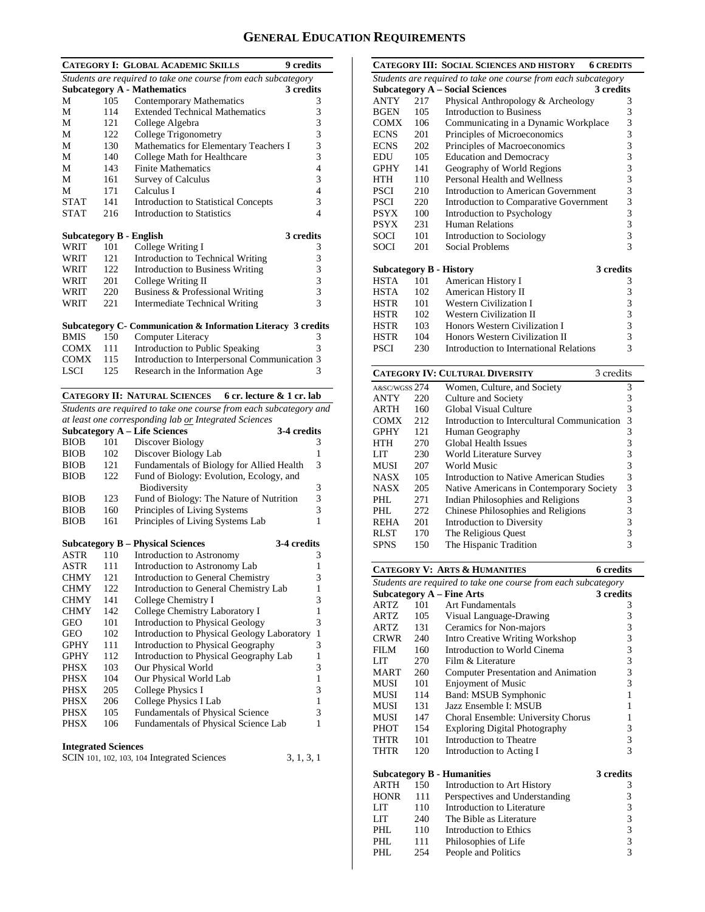# **GENERAL EDUCATION REQUIREMENTS**

|             |     | <b>CATEGORY I: GLOBAL ACADEMIC SKILLS</b>                          | <b>9</b> credits         |
|-------------|-----|--------------------------------------------------------------------|--------------------------|
|             |     | Students are required to take one course from each subcategory     |                          |
|             |     | <b>Subcategory A - Mathematics</b>                                 | 3 credits                |
| M           | 105 | <b>Contemporary Mathematics</b>                                    | 3                        |
| М           | 114 | <b>Extended Technical Mathematics</b>                              | 3                        |
| М           | 121 | College Algebra                                                    | 3                        |
| M           | 122 | College Trigonometry                                               | 3                        |
| M           | 130 | Mathematics for Elementary Teachers I                              | 3                        |
| M           | 140 | College Math for Healthcare                                        | 3                        |
| M           | 143 | <b>Finite Mathematics</b>                                          | $\overline{4}$           |
| М           | 161 | <b>Survey of Calculus</b>                                          | 3                        |
| M           | 171 | Calculus I                                                         | $\overline{4}$           |
| <b>STAT</b> | 141 | <b>Introduction to Statistical Concepts</b>                        | 3                        |
| <b>STAT</b> | 216 | Introduction to Statistics                                         | $\overline{\mathcal{L}}$ |
|             |     |                                                                    |                          |
|             |     | Subcategory B - English                                            | 3 credits                |
| WRIT        | 101 | College Writing I                                                  | 3                        |
| WRIT        | 121 | Introduction to Technical Writing                                  | 3                        |
| WRIT        | 122 | <b>Introduction to Business Writing</b>                            | 3                        |
| WRIT        | 201 | College Writing II                                                 | 3                        |
| WRIT        | 220 | Business & Professional Writing                                    | 3                        |
| WRIT        | 221 | <b>Intermediate Technical Writing</b>                              | $\overline{\mathcal{E}}$ |
|             |     |                                                                    |                          |
|             |     | Subcategory C- Communication & Information Literacy 3 credits      |                          |
| <b>BMIS</b> | 150 | Computer Literacy                                                  | 3                        |
| COMX        | 111 | Introduction to Public Speaking                                    | 3                        |
| <b>COMX</b> | 115 | Introduction to Interpersonal Communication 3                      |                          |
| <b>LSCI</b> | 125 | Research in the Information Age                                    | 3                        |
|             |     |                                                                    |                          |
|             |     | <b>CATEGORY II: NATURAL SCIENCES</b><br>6 cr. lecture & 1 cr. lab  |                          |
|             |     | Students are required to take one course from each subcategory and |                          |

*at least one corresponding lab or Integrated Sciences*

|             |     | <b>Subcategory A – Life Sciences</b><br>3-4 credits |               |
|-------------|-----|-----------------------------------------------------|---------------|
| <b>BIOB</b> | 101 | Discover Biology                                    | 3             |
| <b>BIOB</b> | 102 | Discover Biology Lab                                | 1             |
| <b>BIOB</b> | 121 | Fundamentals of Biology for Allied Health           | 3             |
| <b>BIOB</b> | 122 | Fund of Biology: Evolution, Ecology, and            |               |
|             |     | <b>Biodiversity</b>                                 | 3             |
| <b>BIOB</b> | 123 | Fund of Biology: The Nature of Nutrition            | $\mathcal{R}$ |
| <b>BIOB</b> | 160 | Principles of Living Systems                        | 3             |
| <b>BIOB</b> | 161 | Principles of Living Systems Lab                    | 1             |
|             |     |                                                     |               |

|             |     | <b>Subcategory B – Physical Sciences</b>    | 3-4 credits |   |
|-------------|-----|---------------------------------------------|-------------|---|
| <b>ASTR</b> | 110 | Introduction to Astronomy                   |             | 3 |
| <b>ASTR</b> | 111 | Introduction to Astronomy Lab               |             |   |
| <b>CHMY</b> | 121 | Introduction to General Chemistry           |             | 3 |
| <b>CHMY</b> | 122 | Introduction to General Chemistry Lab       |             | 1 |
| <b>CHMY</b> | 141 | College Chemistry I                         |             | 3 |
| <b>CHMY</b> | 142 | College Chemistry Laboratory I              |             |   |
| GEO         | 101 | Introduction to Physical Geology            |             | 3 |
| GEO         | 102 | Introduction to Physical Geology Laboratory |             | 1 |
| <b>GPHY</b> | 111 | Introduction to Physical Geography          |             | 3 |
| <b>GPHY</b> | 112 | Introduction to Physical Geography Lab      |             |   |
| <b>PHSX</b> | 103 | Our Physical World                          |             | 3 |
| <b>PHSX</b> | 104 | Our Physical World Lab                      |             | 1 |
| <b>PHSX</b> | 205 | College Physics I                           |             | 3 |
| <b>PHSX</b> | 206 | College Physics I Lab                       |             | 1 |
| PHSX        | 105 | <b>Fundamentals of Physical Science</b>     |             | 3 |
| PHSX        | 106 | Fundamentals of Physical Science Lab        |             | 1 |
|             |     |                                             |             |   |

#### **Integrated Sciences**

| SCIN 101, 102, 103, 104 Integrated Sciences | 3, 1, 3, 1 |
|---------------------------------------------|------------|
|---------------------------------------------|------------|

|             |      | <b>CATEGORY III: SOCIAL SCIENCES AND HISTORY</b><br><b>6 CREDITS</b> |                          |
|-------------|------|----------------------------------------------------------------------|--------------------------|
|             |      | Students are required to take one course from each subcategory       |                          |
|             |      | <b>Subcategory A – Social Sciences</b><br>3 credits                  |                          |
| <b>ANTY</b> | 2.17 | Physical Anthropology & Archeology                                   | 3                        |
| <b>BGEN</b> | 105  | Introduction to Business                                             | 3                        |
| <b>COMX</b> | 106  | Communicating in a Dynamic Workplace                                 | 3                        |
| <b>ECNS</b> | 201  | Principles of Microeconomics                                         | 3                        |
| <b>ECNS</b> | 202  | Principles of Macroeconomics                                         | 3                        |
| EDU         | 105  | <b>Education and Democracy</b>                                       | 3                        |
| <b>GPHY</b> | 141  | Geography of World Regions                                           | 3                        |
| <b>HTH</b>  | 110  | Personal Health and Wellness                                         | 3                        |
| <b>PSCI</b> | 210  | Introduction to American Government                                  | 3                        |
| <b>PSCI</b> | 220  | Introduction to Comparative Government                               | 3                        |
| <b>PSYX</b> | 100  | Introduction to Psychology                                           | $\overline{\mathbf{3}}$  |
| <b>PSYX</b> | 231  | Human Relations                                                      | 3                        |
| <b>SOCI</b> | 101  | Introduction to Sociology                                            | 3                        |
| <b>SOCI</b> | 201  | Social Problems                                                      | $\overline{\mathcal{E}}$ |
|             |      |                                                                      |                          |
|             |      | 3 credits<br><b>Subcategory B - History</b>                          |                          |
| <b>HSTA</b> | 101  | American History I                                                   | 3                        |
| <b>HSTA</b> | 102  | American History II                                                  | 3                        |
| HSTR        | 101  | <b>Western Civilization I</b>                                        | 3                        |
| <b>HSTR</b> | 102  | <b>Western Civilization II</b>                                       | 3                        |
| HSTR        | 103  | Honors Western Civilization I                                        | 3                        |
| <b>HSTR</b> | 104  | Honors Western Civilization II                                       | 3                        |
| <b>PSCI</b> | 230  | Introduction to International Relations                              | $\overline{\mathcal{E}}$ |
|             |      |                                                                      |                          |

|               | <b>CATEGORY IV: CULTURAL DIVERSITY</b><br>3 credits |                                             |   |  |  |  |
|---------------|-----------------------------------------------------|---------------------------------------------|---|--|--|--|
| A&SC/WGSS 274 |                                                     | Women, Culture, and Society                 | 3 |  |  |  |
| <b>ANTY</b>   | 220                                                 | Culture and Society                         | 3 |  |  |  |
| <b>ARTH</b>   | 160                                                 | Global Visual Culture                       | 3 |  |  |  |
| <b>COMX</b>   | 212                                                 | Introduction to Intercultural Communication | 3 |  |  |  |
| <b>GPHY</b>   | 121                                                 | Human Geography                             | 3 |  |  |  |
| <b>HTH</b>    | 270                                                 | <b>Global Health Issues</b>                 | 3 |  |  |  |
| LIT           | 230                                                 | World Literature Survey                     | 3 |  |  |  |
| <b>MUSI</b>   | 207                                                 | World Music                                 | 3 |  |  |  |
| <b>NASX</b>   | 105                                                 | Introduction to Native American Studies     | 3 |  |  |  |
| <b>NASX</b>   | 205                                                 | Native Americans in Contemporary Society    | 3 |  |  |  |
| PHL.          | 271                                                 | Indian Philosophies and Religions           | 3 |  |  |  |
| PHL.          | 272                                                 | Chinese Philosophies and Religions          | 3 |  |  |  |
| <b>REHA</b>   | 201                                                 | Introduction to Diversity                   | 3 |  |  |  |
| <b>RLST</b>   | 170                                                 | The Religious Quest                         | 3 |  |  |  |
| <b>SPNS</b>   | 150                                                 | The Hispanic Tradition                      | 3 |  |  |  |
|               |                                                     |                                             |   |  |  |  |

|                                                                |     | <b>CATEGORY V: ARTS &amp; HUMANITIES</b> | <b>6</b> credits |  |  |  |  |
|----------------------------------------------------------------|-----|------------------------------------------|------------------|--|--|--|--|
| Students are required to take one course from each subcategory |     |                                          |                  |  |  |  |  |
|                                                                |     | <b>Subcategory A – Fine Arts</b>         | 3 credits        |  |  |  |  |
| ARTZ                                                           | 101 | Art Fundamentals                         | 3                |  |  |  |  |
| ARTZ                                                           | 105 | Visual Language-Drawing                  | 3                |  |  |  |  |
| ARTZ                                                           | 131 | Ceramics for Non-majors                  | 3                |  |  |  |  |
| CRWR                                                           | 240 | <b>Intro Creative Writing Workshop</b>   | 3                |  |  |  |  |
| FILM                                                           | 160 | Introduction to World Cinema             | 3                |  |  |  |  |
| LIT                                                            | 270 | Film $&$ Literature                      | 3                |  |  |  |  |
| MART                                                           | 260 | Computer Presentation and Animation      | 3                |  |  |  |  |
| MUSI                                                           | 101 | <b>Enjoyment of Music</b>                | 3                |  |  |  |  |
| <b>MUSI</b>                                                    | 114 | <b>Band: MSUB Symphonic</b>              | 1                |  |  |  |  |
| <b>MUSI</b>                                                    | 131 | Jazz Ensemble I: MSUB                    | 1                |  |  |  |  |
| <b>MUSI</b>                                                    | 147 | Choral Ensemble: University Chorus       | 1                |  |  |  |  |
| PHOT                                                           | 154 | <b>Exploring Digital Photography</b>     | 3                |  |  |  |  |
| THTR                                                           | 101 | Introduction to Theatre                  | 3                |  |  |  |  |
| THTR                                                           | 120 | Introduction to Acting I                 | 3                |  |  |  |  |
|                                                                |     | <b>Subcategory B - Humanities</b>        | 3 credits        |  |  |  |  |
| <b>ARTH</b>                                                    | 150 | Introduction to Art History              | 3                |  |  |  |  |
| <b>HONR</b>                                                    | 111 | Perspectives and Understanding           | 3                |  |  |  |  |
| LIT                                                            | 110 | Introduction to Literature               | 3                |  |  |  |  |
| LIT                                                            | 240 | The Bible as Literature                  | 3                |  |  |  |  |
| PHI.                                                           | 110 | Introduction to Ethics                   | 3                |  |  |  |  |
| PHL                                                            | 111 | Philosophies of Life                     | 3                |  |  |  |  |
| PHI.                                                           | 254 | People and Politics                      | 3                |  |  |  |  |
|                                                                |     |                                          |                  |  |  |  |  |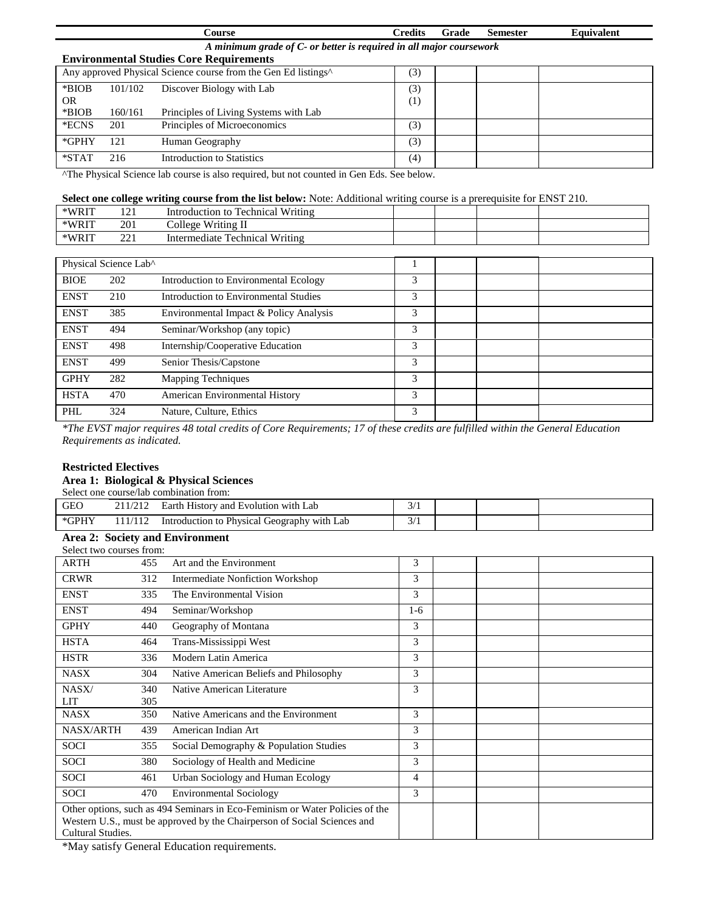|         |                                                                     | <b>Course</b>                                                              | <b>Credits</b>      | Grade | <b>Semester</b> | <b>Equivalent</b> |  |  |  |
|---------|---------------------------------------------------------------------|----------------------------------------------------------------------------|---------------------|-------|-----------------|-------------------|--|--|--|
|         | A minimum grade of C- or better is required in all major coursework |                                                                            |                     |       |                 |                   |  |  |  |
|         |                                                                     | <b>Environmental Studies Core Requirements</b>                             |                     |       |                 |                   |  |  |  |
|         |                                                                     | Any approved Physical Science course from the Gen Ed listings <sup>^</sup> | (3)                 |       |                 |                   |  |  |  |
| *BIOB   | 101/102                                                             | Discover Biology with Lab                                                  | 3)                  |       |                 |                   |  |  |  |
| OR.     |                                                                     |                                                                            | $_{\left(1\right)}$ |       |                 |                   |  |  |  |
| *BIOB   | 160/161                                                             | Principles of Living Systems with Lab                                      |                     |       |                 |                   |  |  |  |
| *ECNS   | 201                                                                 | Principles of Microeconomics                                               | (3)                 |       |                 |                   |  |  |  |
| *GPHY   | 121                                                                 | Human Geography                                                            | (3)                 |       |                 |                   |  |  |  |
| $*STAT$ | 216                                                                 | <b>Introduction to Statistics</b>                                          | (4)                 |       |                 |                   |  |  |  |

^The Physical Science lab course is also required, but not counted in Gen Eds. See below.

## **Select one college writing course from the list below:** Note: Additional writing course is a prerequisite for ENST 210.

| *WRIT | $\sim$ 1<br>1/1 | ' Writing<br>Technical<br>Introduction to |  |  |
|-------|-----------------|-------------------------------------------|--|--|
| *WRIT | 201             | Writing II<br>College                     |  |  |
| *WRIT | າາ<br>⊷         | Technical Writing<br>Intermediate         |  |  |

| Physical Science Lab^ |     |                                        |   |  |  |
|-----------------------|-----|----------------------------------------|---|--|--|
| <b>BIOE</b>           | 202 | Introduction to Environmental Ecology  | 3 |  |  |
| <b>ENST</b>           | 210 | Introduction to Environmental Studies  | 3 |  |  |
| <b>ENST</b>           | 385 | Environmental Impact & Policy Analysis | 3 |  |  |
| <b>ENST</b>           | 494 | Seminar/Workshop (any topic)           | 3 |  |  |
| <b>ENST</b>           | 498 | Internship/Cooperative Education       | 3 |  |  |
| <b>ENST</b>           | 499 | Senior Thesis/Capstone                 | 3 |  |  |
| <b>GPHY</b>           | 282 | <b>Mapping Techniques</b>              | 3 |  |  |
| <b>HSTA</b>           | 470 | American Environmental History         | 3 |  |  |
| PHL                   | 324 | Nature, Culture, Ethics                | 3 |  |  |

*\*The EVST major requires 48 total credits of Core Requirements; 17 of these credits are fulfilled within the General Education Requirements as indicated.*

## **Restricted Electives**

## **Area 1: Biological & Physical Sciences**

| <b>GEC</b>             | Earth History and Evolution with Lab        |                 |  |  |
|------------------------|---------------------------------------------|-----------------|--|--|
| $*G$ PH $\overline{ }$ | Introduction to Physical Geography with Lab | $\sim$ $\prime$ |  |  |

#### **Area 2: Society and Environment** Select two courses from:

| SEJECI I.WO COUISES ITOIIE                                                                                                                                                    |     |                                        |       |  |  |
|-------------------------------------------------------------------------------------------------------------------------------------------------------------------------------|-----|----------------------------------------|-------|--|--|
| <b>ARTH</b>                                                                                                                                                                   | 455 | Art and the Environment                | 3     |  |  |
| <b>CRWR</b>                                                                                                                                                                   | 312 | Intermediate Nonfiction Workshop       | 3     |  |  |
| <b>ENST</b>                                                                                                                                                                   | 335 | The Environmental Vision               | 3     |  |  |
| <b>ENST</b>                                                                                                                                                                   | 494 | Seminar/Workshop                       | $1-6$ |  |  |
| <b>GPHY</b>                                                                                                                                                                   | 440 | Geography of Montana                   | 3     |  |  |
| <b>HSTA</b>                                                                                                                                                                   | 464 | Trans-Mississippi West                 | 3     |  |  |
| <b>HSTR</b>                                                                                                                                                                   | 336 | Modern Latin America                   | 3     |  |  |
| <b>NASX</b>                                                                                                                                                                   | 304 | Native American Beliefs and Philosophy | 3     |  |  |
| NASX/                                                                                                                                                                         | 340 | Native American Literature             | 3     |  |  |
| LIT                                                                                                                                                                           | 305 |                                        |       |  |  |
| <b>NASX</b>                                                                                                                                                                   | 350 | Native Americans and the Environment   | 3     |  |  |
| <b>NASX/ARTH</b>                                                                                                                                                              | 439 | American Indian Art                    | 3     |  |  |
| <b>SOCI</b>                                                                                                                                                                   | 355 | Social Demography & Population Studies | 3     |  |  |
| <b>SOCI</b>                                                                                                                                                                   | 380 | Sociology of Health and Medicine       | 3     |  |  |
| <b>SOCI</b>                                                                                                                                                                   | 461 | Urban Sociology and Human Ecology      | 4     |  |  |
| <b>SOCI</b>                                                                                                                                                                   | 470 | <b>Environmental Sociology</b>         | 3     |  |  |
| Other options, such as 494 Seminars in Eco-Feminism or Water Policies of the<br>Western U.S., must be approved by the Chairperson of Social Sciences and<br>Cultural Studies. |     |                                        |       |  |  |

\*May satisfy General Education requirements.